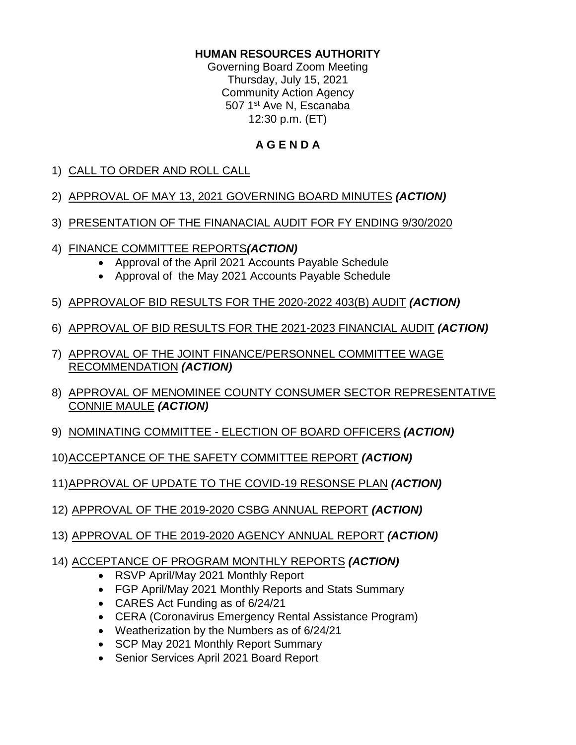#### **HUMAN RESOURCES AUTHORITY**

Governing Board Zoom Meeting Thursday, July 15, 2021 Community Action Agency 507 1<sup>st</sup> Ave N, Escanaba 12:30 p.m. (ET)

## **A G E N D A**

- 1) CALL TO ORDER AND ROLL CALL
- 2) APPROVAL OF MAY 13, 2021 GOVERNING BOARD MINUTES *(ACTION)*
- 3) PRESENTATION OF THE FINANACIAL AUDIT FOR FY ENDING 9/30/2020
- 4) FINANCE COMMITTEE REPORTS*(ACTION)*
	- Approval of the April 2021 Accounts Payable Schedule
	- Approval of the May 2021 Accounts Payable Schedule
- 5) APPROVALOF BID RESULTS FOR THE 2020-2022 403(B) AUDIT *(ACTION)*
- 6) APPROVAL OF BID RESULTS FOR THE 2021-2023 FINANCIAL AUDIT *(ACTION)*
- 7) APPROVAL OF THE JOINT FINANCE/PERSONNEL COMMITTEE WAGE RECOMMENDATION *(ACTION)*
- 8) APPROVAL OF MENOMINEE COUNTY CONSUMER SECTOR REPRESENTATIVE CONNIE MAULE *(ACTION)*
- 9) NOMINATING COMMITTEE ELECTION OF BOARD OFFICERS *(ACTION)*
- 10)ACCEPTANCE OF THE SAFETY COMMITTEE REPORT *(ACTION)*
- 11)APPROVAL OF UPDATE TO THE COVID-19 RESONSE PLAN *(ACTION)*
- 12) APPROVAL OF THE 2019-2020 CSBG ANNUAL REPORT *(ACTION)*
- 13) APPROVAL OF THE 2019-2020 AGENCY ANNUAL REPORT *(ACTION)*
- 14) ACCEPTANCE OF PROGRAM MONTHLY REPORTS *(ACTION)*
	- RSVP April/May 2021 Monthly Report
	- FGP April/May 2021 Monthly Reports and Stats Summary
	- CARES Act Funding as of 6/24/21
	- CERA (Coronavirus Emergency Rental Assistance Program)
	- Weatherization by the Numbers as of 6/24/21
	- SCP May 2021 Monthly Report Summary
	- Senior Services April 2021 Board Report